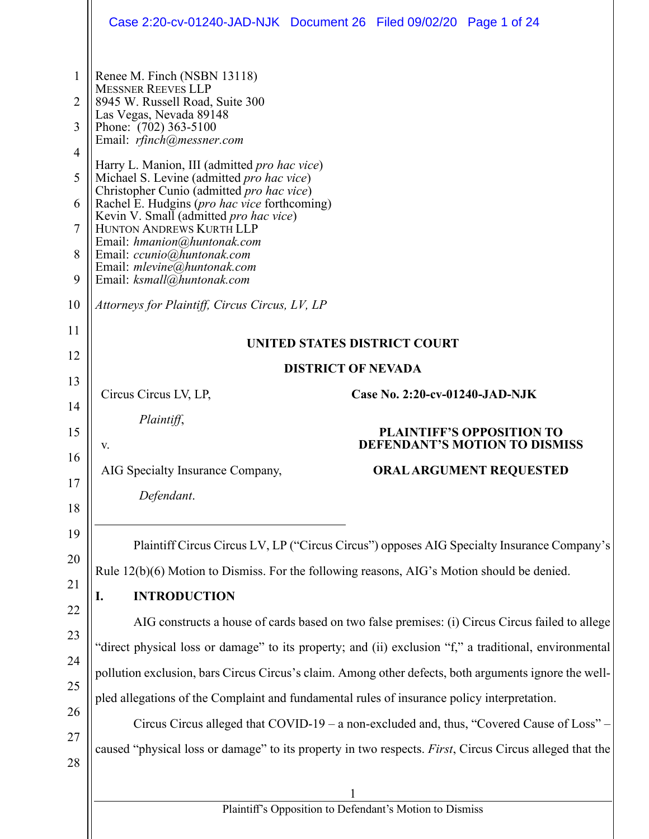|                                                                     | Case 2:20-cv-01240-JAD-NJK Document 26 Filed 09/02/20 Page 1 of 24                                                                                                                                                                                                                                                                                                                                                                                                                                                                                                     |  |  |  |
|---------------------------------------------------------------------|------------------------------------------------------------------------------------------------------------------------------------------------------------------------------------------------------------------------------------------------------------------------------------------------------------------------------------------------------------------------------------------------------------------------------------------------------------------------------------------------------------------------------------------------------------------------|--|--|--|
| 1<br>2<br>3<br>$\overline{4}$<br>5<br>6<br>$\overline{7}$<br>8<br>9 | Renee M. Finch (NSBN 13118)<br><b>MESSNER REEVES LLP</b><br>8945 W. Russell Road, Suite 300<br>Las Vegas, Nevada 89148<br>Phone: (702) 363-5100<br>Email: rfinch@messner.com<br>Harry L. Manion, III (admitted pro hac vice)<br>Michael S. Levine (admitted pro hac vice)<br>Christopher Cunio (admitted pro hac vice)<br>Rachel E. Hudgins (pro hac vice forthcoming)<br>Kevin V. Small (admitted pro hac vice)<br>HUNTON ANDREWS KURTH LLP<br>Email: hmanion@huntonak.com<br>Email: ccunio@huntonak.com<br>Email: mlevine@huntonak.com<br>Email: ksmall@huntonak.com |  |  |  |
| 10                                                                  | Attorneys for Plaintiff, Circus Circus, LV, LP                                                                                                                                                                                                                                                                                                                                                                                                                                                                                                                         |  |  |  |
| 11                                                                  | UNITED STATES DISTRICT COURT                                                                                                                                                                                                                                                                                                                                                                                                                                                                                                                                           |  |  |  |
| 12                                                                  | <b>DISTRICT OF NEVADA</b>                                                                                                                                                                                                                                                                                                                                                                                                                                                                                                                                              |  |  |  |
| 13<br>14                                                            | Case No. 2:20-cv-01240-JAD-NJK<br>Circus Circus LV, LP,                                                                                                                                                                                                                                                                                                                                                                                                                                                                                                                |  |  |  |
| 15                                                                  | Plaintiff,<br><b>PLAINTIFF'S OPPOSITION TO</b><br><b>DEFENDANT'S MOTION TO DISMISS</b><br>V.                                                                                                                                                                                                                                                                                                                                                                                                                                                                           |  |  |  |
| 16<br>17<br>18                                                      | AIG Specialty Insurance Company,<br><b>ORAL ARGUMENT REQUESTED</b><br>Defendant.                                                                                                                                                                                                                                                                                                                                                                                                                                                                                       |  |  |  |
| 19<br>20                                                            | Plaintiff Circus Circus LV, LP ("Circus Circus") opposes AIG Specialty Insurance Company's                                                                                                                                                                                                                                                                                                                                                                                                                                                                             |  |  |  |
| 21<br>22                                                            | Rule 12(b)(6) Motion to Dismiss. For the following reasons, AIG's Motion should be denied.<br><b>INTRODUCTION</b><br>I.                                                                                                                                                                                                                                                                                                                                                                                                                                                |  |  |  |
| 23                                                                  | AIG constructs a house of cards based on two false premises: (i) Circus Circus failed to allege                                                                                                                                                                                                                                                                                                                                                                                                                                                                        |  |  |  |
| 24                                                                  | "direct physical loss or damage" to its property; and (ii) exclusion "f," a traditional, environmental<br>pollution exclusion, bars Circus Circus's claim. Among other defects, both arguments ignore the well-                                                                                                                                                                                                                                                                                                                                                        |  |  |  |
| 25                                                                  |                                                                                                                                                                                                                                                                                                                                                                                                                                                                                                                                                                        |  |  |  |
| 26                                                                  | pled allegations of the Complaint and fundamental rules of insurance policy interpretation.                                                                                                                                                                                                                                                                                                                                                                                                                                                                            |  |  |  |
| 27<br>28                                                            | Circus Circus alleged that COVID-19 - a non-excluded and, thus, "Covered Cause of Loss" -<br>caused "physical loss or damage" to its property in two respects. First, Circus Circus alleged that the                                                                                                                                                                                                                                                                                                                                                                   |  |  |  |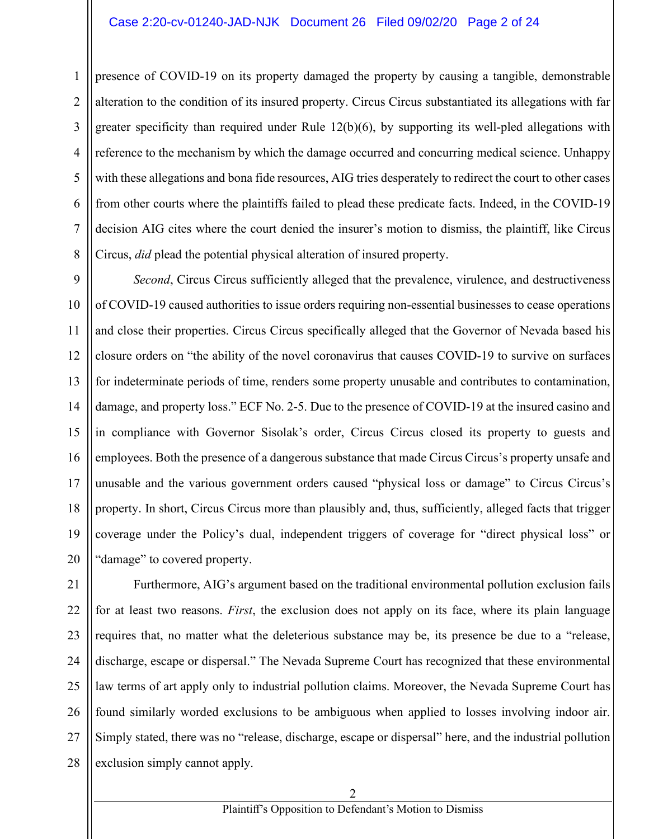#### Case 2:20-cv-01240-JAD-NJK Document 26 Filed 09/02/20 Page 2 of 24

1 2 3 4 5 6 7 8 presence of COVID-19 on its property damaged the property by causing a tangible, demonstrable alteration to the condition of its insured property. Circus Circus substantiated its allegations with far greater specificity than required under Rule 12(b)(6), by supporting its well-pled allegations with reference to the mechanism by which the damage occurred and concurring medical science. Unhappy with these allegations and bona fide resources, AIG tries desperately to redirect the court to other cases from other courts where the plaintiffs failed to plead these predicate facts. Indeed, in the COVID-19 decision AIG cites where the court denied the insurer's motion to dismiss, the plaintiff, like Circus Circus, *did* plead the potential physical alteration of insured property.

9 *Second*, Circus Circus sufficiently alleged that the prevalence, virulence, and destructiveness of COVID-19 caused authorities to issue orders requiring non-essential businesses to cease operations and close their properties. Circus Circus specifically alleged that the Governor of Nevada based his closure orders on "the ability of the novel coronavirus that causes COVID-19 to survive on surfaces for indeterminate periods of time, renders some property unusable and contributes to contamination, damage, and property loss." ECF No. 2-5. Due to the presence of COVID-19 at the insured casino and in compliance with Governor Sisolak's order, Circus Circus closed its property to guests and employees. Both the presence of a dangerous substance that made Circus Circus's property unsafe and unusable and the various government orders caused "physical loss or damage" to Circus Circus's property. In short, Circus Circus more than plausibly and, thus, sufficiently, alleged facts that trigger coverage under the Policy's dual, independent triggers of coverage for "direct physical loss" or "damage" to covered property.

28 Furthermore, AIG's argument based on the traditional environmental pollution exclusion fails for at least two reasons. *First*, the exclusion does not apply on its face, where its plain language requires that, no matter what the deleterious substance may be, its presence be due to a "release, discharge, escape or dispersal." The Nevada Supreme Court has recognized that these environmental law terms of art apply only to industrial pollution claims. Moreover, the Nevada Supreme Court has found similarly worded exclusions to be ambiguous when applied to losses involving indoor air. Simply stated, there was no "release, discharge, escape or dispersal" here, and the industrial pollution exclusion simply cannot apply.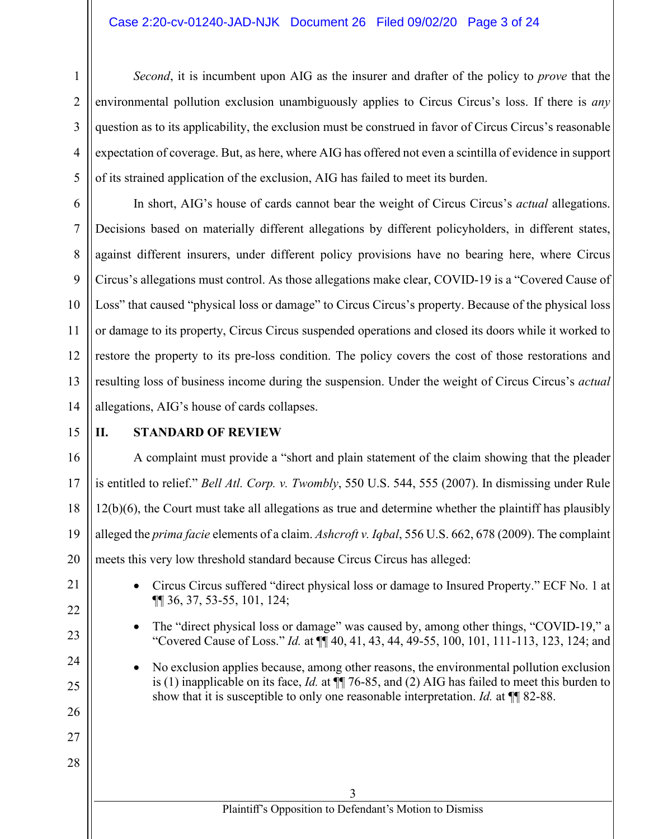#### Case 2:20-cv-01240-JAD-NJK Document 26 Filed 09/02/20 Page 3 of 24

*Second*, it is incumbent upon AIG as the insurer and drafter of the policy to *prove* that the environmental pollution exclusion unambiguously applies to Circus Circus's loss. If there is *any* question as to its applicability, the exclusion must be construed in favor of Circus Circus's reasonable expectation of coverage. But, as here, where AIG has offered not even a scintilla of evidence in support of its strained application of the exclusion, AIG has failed to meet its burden.

10 12 In short, AIG's house of cards cannot bear the weight of Circus Circus's *actual* allegations. Decisions based on materially different allegations by different policyholders, in different states, against different insurers, under different policy provisions have no bearing here, where Circus Circus's allegations must control. As those allegations make clear, COVID-19 is a "Covered Cause of Loss" that caused "physical loss or damage" to Circus Circus's property. Because of the physical loss or damage to its property, Circus Circus suspended operations and closed its doors while it worked to restore the property to its pre-loss condition. The policy covers the cost of those restorations and resulting loss of business income during the suspension. Under the weight of Circus Circus's *actual* allegations, AIG's house of cards collapses.

15

21

22

23

24

25

26

27

28

1

2

3

4

5

6

7

8

9

11

13

14

# **II. STANDARD OF REVIEW**

16 17 18 19 20 A complaint must provide a "short and plain statement of the claim showing that the pleader is entitled to relief." *Bell Atl. Corp. v. Twombly*, 550 U.S. 544, 555 (2007). In dismissing under Rule 12(b)(6), the Court must take all allegations as true and determine whether the plaintiff has plausibly alleged the *prima facie* elements of a claim. *Ashcroft v. Iqbal*, 556 U.S. 662, 678 (2009). The complaint meets this very low threshold standard because Circus Circus has alleged:

> • Circus Circus suffered "direct physical loss or damage to Insured Property." ECF No. 1 at ¶¶ 36, 37, 53-55, 101, 124;

- The "direct physical loss or damage" was caused by, among other things, "COVID-19," a "Covered Cause of Loss." *Id.* at ¶¶ 40, 41, 43, 44, 49-55, 100, 101, 111-113, 123, 124; and
- No exclusion applies because, among other reasons, the environmental pollution exclusion is (1) inapplicable on its face, *Id.* at ¶¶ 76-85, and (2) AIG has failed to meet this burden to show that it is susceptible to only one reasonable interpretation. *Id.* at ¶¶ 82-88.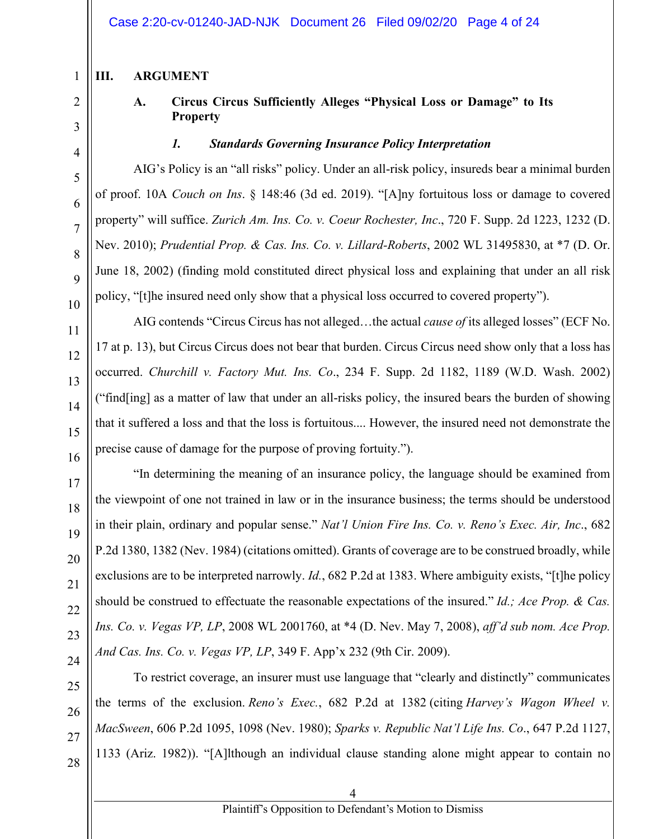# **III. ARGUMENT**

1

# **A. Circus Circus Sufficiently Alleges "Physical Loss or Damage" to Its Property**

#### *1. Standards Governing Insurance Policy Interpretation*

AIG's Policy is an "all risks" policy. Under an all-risk policy, insureds bear a minimal burden of proof. 10A *Couch on Ins*. § 148:46 (3d ed. 2019). "[A]ny fortuitous loss or damage to covered property" will suffice. *Zurich Am. Ins. Co. v. Coeur Rochester, Inc*., 720 F. Supp. 2d 1223, 1232 (D. Nev. 2010); *Prudential Prop. & Cas. Ins. Co. v. Lillard-Roberts*, 2002 WL 31495830, at \*7 (D. Or. June 18, 2002) (finding mold constituted direct physical loss and explaining that under an all risk policy, "[t]he insured need only show that a physical loss occurred to covered property").

AIG contends "Circus Circus has not alleged…the actual *cause of* its alleged losses" (ECF No. 17 at p. 13), but Circus Circus does not bear that burden. Circus Circus need show only that a loss has occurred. *Churchill v. Factory Mut. Ins. Co*., 234 F. Supp. 2d 1182, 1189 (W.D. Wash. 2002) ("find[ing] as a matter of law that under an all-risks policy, the insured bears the burden of showing that it suffered a loss and that the loss is fortuitous.... However, the insured need not demonstrate the precise cause of damage for the purpose of proving fortuity.").

"In determining the meaning of an insurance policy, the language should be examined from the viewpoint of one not trained in law or in the insurance business; the terms should be understood in their plain, ordinary and popular sense." *Nat'l Union Fire Ins. Co. v. Reno's Exec. Air, Inc*., 682 P.2d 1380, 1382 (Nev. 1984) (citations omitted). Grants of coverage are to be construed broadly, while exclusions are to be interpreted narrowly. *Id.*, 682 P.2d at 1383. Where ambiguity exists, "[t]he policy should be construed to effectuate the reasonable expectations of the insured." *Id.; Ace Prop. & Cas. Ins. Co. v. Vegas VP, LP*, 2008 WL 2001760, at \*4 (D. Nev. May 7, 2008), *aff'd sub nom. Ace Prop. And Cas. Ins. Co. v. Vegas VP, LP*, 349 F. App'x 232 (9th Cir. 2009).

To restrict coverage, an insurer must use language that "clearly and distinctly" communicates the terms of the exclusion. *Reno's Exec.*, 682 P.2d at 1382 (citing *Harvey's Wagon Wheel v. MacSween*, 606 P.2d 1095, 1098 (Nev. 1980); *Sparks v. Republic Nat'l Life Ins. Co*., 647 P.2d 1127, 1133 (Ariz. 1982)). "[A]lthough an individual clause standing alone might appear to contain no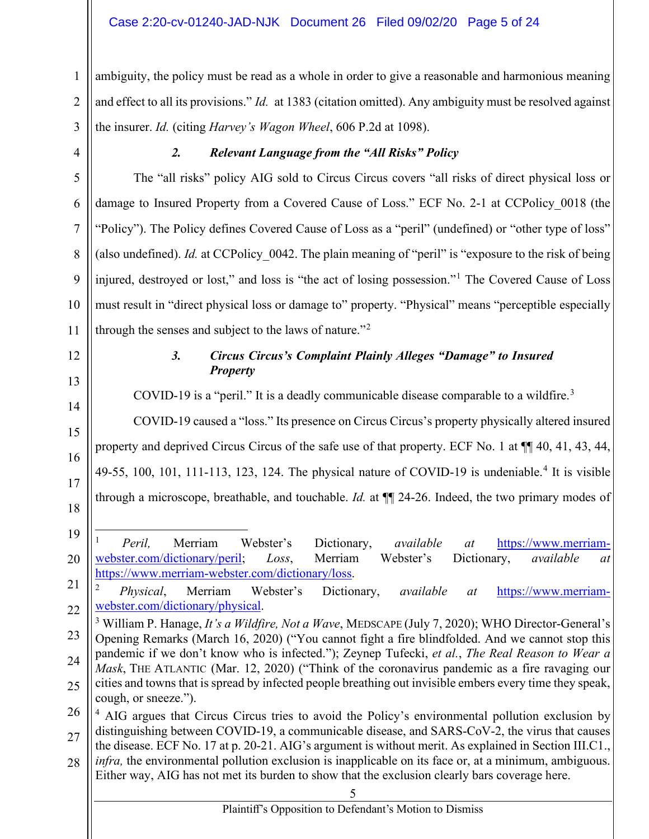### Case 2:20-cv-01240-JAD-NJK Document 26 Filed 09/02/20 Page 5 of 24

1  $\mathfrak{D}$ 3 ambiguity, the policy must be read as a whole in order to give a reasonable and harmonious meaning and effect to all its provisions." *Id.* at 1383 (citation omitted). Any ambiguity must be resolved against the insurer. *Id.* (citing *Harvey's Wagon Wheel*, 606 P.2d at 1098).

4

5

6

7

8

9

10

11

# *2. Relevant Language from the "All Risks" Policy*

The "all risks" policy AIG sold to Circus Circus covers "all risks of direct physical loss or damage to Insured Property from a Covered Cause of Loss." ECF No. 2-1 at CCPolicy 0018 (the "Policy"). The Policy defines Covered Cause of Loss as a "peril" (undefined) or "other type of loss" (also undefined). *Id.* at CCPolicy 0042. The plain meaning of "peril" is "exposure to the risk of being injured, destroyed or lost," and loss is "the act of losing possession."<sup>1</sup> The Covered Cause of Loss must result in "direct physical loss or damage to" property. "Physical" means "perceptible especially through the senses and subject to the laws of nature."<sup>2</sup>

12

13

14

15

16

17

18

# *3. Circus Circus's Complaint Plainly Alleges "Damage" to Insured Property*

COVID-19 is a "peril." It is a deadly communicable disease comparable to a wildfire.<sup>3</sup>

COVID-19 caused a "loss." Its presence on Circus Circus's property physically altered insured property and deprived Circus Circus of the safe use of that property. ECF No. 1 at  $\P$  40, 41, 43, 44, 49-55, 100, 101, 111-113, 123, 124. The physical nature of COVID-19 is undeniable.<sup>4</sup> It is visible through a microscope, breathable, and touchable. *Id.* at ¶¶ 24-26. Indeed, the two primary modes of

28 *infra,* the environmental pollution exclusion is inapplicable on its face or, at a minimum, ambiguous. Either way, AIG has not met its burden to show that the exclusion clearly bars coverage here.

<sup>19</sup> 20 <sup>1</sup> *Peril,* Merriam Webster's Dictionary, *available at* https://www.merriamwebster.com/dictionary/peril; *Loss*, Merriam Webster's Dictionary, *available at*  https://www.merriam-webster.com/dictionary/loss.

<sup>21</sup> 22 <sup>2</sup> *Physical*, Merriam Webster's Dictionary, *available at* https://www.merriamwebster.com/dictionary/physical.

<sup>23</sup> 24 25 <sup>3</sup> William P. Hanage, *It's a Wildfire, Not a Wave*, MEDSCAPE (July 7, 2020); WHO Director-General's Opening Remarks (March 16, 2020) ("You cannot fight a fire blindfolded. And we cannot stop this pandemic if we don't know who is infected."); Zeynep Tufecki, *et al.*, *The Real Reason to Wear a Mask*, THE ATLANTIC (Mar. 12, 2020) ("Think of the coronavirus pandemic as a fire ravaging our cities and towns that is spread by infected people breathing out invisible embers every time they speak, cough, or sneeze.").

<sup>26</sup> 27 <sup>4</sup> AIG argues that Circus Circus tries to avoid the Policy's environmental pollution exclusion by distinguishing between COVID-19, a communicable disease, and SARS-CoV-2, the virus that causes the disease. ECF No. 17 at p. 20-21. AIG's argument is without merit. As explained in Section III.C1.,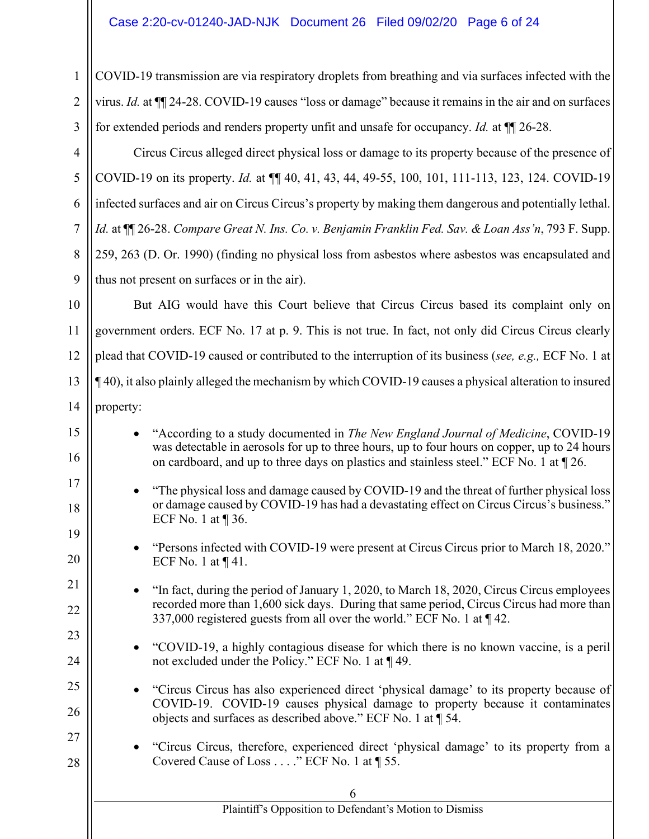COVID-19 transmission are via respiratory droplets from breathing and via surfaces infected with the virus. *Id.* at ¶¶ 24-28. COVID-19 causes "loss or damage" because it remains in the air and on surfaces for extended periods and renders property unfit and unsafe for occupancy. *Id.* at ¶¶ 26-28.

Circus Circus alleged direct physical loss or damage to its property because of the presence of COVID-19 on its property. *Id.* at ¶¶ 40, 41, 43, 44, 49-55, 100, 101, 111-113, 123, 124. COVID-19 infected surfaces and air on Circus Circus's property by making them dangerous and potentially lethal. *Id.* at ¶¶ 26-28. *Compare Great N. Ins. Co. v. Benjamin Franklin Fed. Sav. & Loan Ass'n*, 793 F. Supp. 259, 263 (D. Or. 1990) (finding no physical loss from asbestos where asbestos was encapsulated and thus not present on surfaces or in the air).

But AIG would have this Court believe that Circus Circus based its complaint only on government orders. ECF No. 17 at p. 9. This is not true. In fact, not only did Circus Circus clearly plead that COVID-19 caused or contributed to the interruption of its business (*see, e.g.,* ECF No. 1 at ¶ 40), it also plainly alleged the mechanism by which COVID-19 causes a physical alteration to insured property:

| 15 | "According to a study documented in The New England Journal of Medicine, COVID-19                                                                                                      |  |  |  |
|----|----------------------------------------------------------------------------------------------------------------------------------------------------------------------------------------|--|--|--|
| 16 | was detectable in aerosols for up to three hours, up to four hours on copper, up to 24 hours<br>on cardboard, and up to three days on plastics and stainless steel." ECF No. 1 at 126. |  |  |  |
| 17 | "The physical loss and damage caused by COVID-19 and the threat of further physical loss                                                                                               |  |  |  |
| 18 | or damage caused by COVID-19 has had a devastating effect on Circus Circus's business."<br>ECF No. 1 at $\P$ 36.                                                                       |  |  |  |
| 19 |                                                                                                                                                                                        |  |  |  |
| 20 | "Persons infected with COVID-19 were present at Circus Circus prior to March 18, 2020."<br>ECF No. 1 at $\P$ 41.                                                                       |  |  |  |
| 21 | "In fact, during the period of January 1, 2020, to March 18, 2020, Circus Circus employees                                                                                             |  |  |  |
| 22 | recorded more than 1,600 sick days. During that same period, Circus Circus had more than<br>337,000 registered guests from all over the world." ECF No. 1 at ¶42.                      |  |  |  |
| 23 |                                                                                                                                                                                        |  |  |  |
| 24 | "COVID-19, a highly contagious disease for which there is no known vaccine, is a peril<br>not excluded under the Policy." ECF No. 1 at $\P$ 49.                                        |  |  |  |
| 25 | "Circus Circus has also experienced direct 'physical damage' to its property because of                                                                                                |  |  |  |
| 26 | COVID-19. COVID-19 causes physical damage to property because it contaminates<br>objects and surfaces as described above." ECF No. 1 at 154.                                           |  |  |  |
| 27 |                                                                                                                                                                                        |  |  |  |
|    | "Circus Circus, therefore, experienced direct 'physical damage' to its property from a                                                                                                 |  |  |  |
| 28 | Covered Cause of Loss " ECF No. 1 at ¶ 55.                                                                                                                                             |  |  |  |
|    |                                                                                                                                                                                        |  |  |  |
|    | Plaintiff's Opposition to Defendant's Motion to Dismiss                                                                                                                                |  |  |  |
|    |                                                                                                                                                                                        |  |  |  |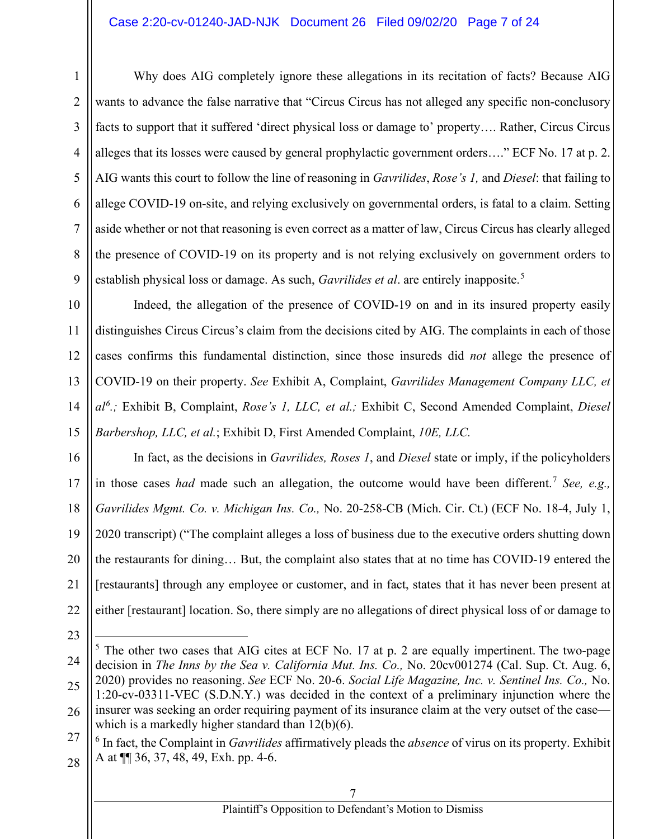#### Case 2:20-cv-01240-JAD-NJK Document 26 Filed 09/02/20 Page 7 of 24

Why does AIG completely ignore these allegations in its recitation of facts? Because AIG wants to advance the false narrative that "Circus Circus has not alleged any specific non-conclusory facts to support that it suffered 'direct physical loss or damage to' property…. Rather, Circus Circus alleges that its losses were caused by general prophylactic government orders…." ECF No. 17 at p. 2. AIG wants this court to follow the line of reasoning in *Gavrilides*, *Rose's 1,* and *Diesel*: that failing to allege COVID-19 on-site, and relying exclusively on governmental orders, is fatal to a claim. Setting aside whether or not that reasoning is even correct as a matter of law, Circus Circus has clearly alleged the presence of COVID-19 on its property and is not relying exclusively on government orders to establish physical loss or damage. As such, *Gavrilides et al*. are entirely inapposite.<sup>5</sup>

Indeed, the allegation of the presence of COVID-19 on and in its insured property easily distinguishes Circus Circus's claim from the decisions cited by AIG. The complaints in each of those cases confirms this fundamental distinction, since those insureds did *not* allege the presence of COVID-19 on their property. *See* Exhibit A, Complaint, *Gavrilides Management Company LLC, et al<sup>6</sup> .;* Exhibit B, Complaint, *Rose's 1, LLC, et al.;* Exhibit C, Second Amended Complaint, *Diesel Barbershop, LLC, et al.*; Exhibit D, First Amended Complaint, *10E, LLC.*

In fact, as the decisions in *Gavrilides, Roses 1*, and *Diesel* state or imply, if the policyholders in those cases *had* made such an allegation, the outcome would have been different.<sup>7</sup> *See, e.g.*, *Gavrilides Mgmt. Co. v. Michigan Ins. Co.,* No. 20-258-CB (Mich. Cir. Ct.) (ECF No. 18-4, July 1, 2020 transcript) ("The complaint alleges a loss of business due to the executive orders shutting down the restaurants for dining… But, the complaint also states that at no time has COVID-19 entered the [restaurants] through any employee or customer, and in fact, states that it has never been present at either [restaurant] location. So, there simply are no allegations of direct physical loss of or damage to

<sup>25</sup> 26  $<sup>5</sup>$  The other two cases that AIG cites at ECF No. 17 at p. 2 are equally impertinent. The two-page</sup> decision in *The Inns by the Sea v. California Mut. Ins. Co.,* No. 20cv001274 (Cal. Sup. Ct. Aug. 6, 2020) provides no reasoning. *See* ECF No. 20-6. *Social Life Magazine, Inc. v. Sentinel Ins. Co.,* No. 1:20-cv-03311-VEC (S.D.N.Y.) was decided in the context of a preliminary injunction where the insurer was seeking an order requiring payment of its insurance claim at the very outset of the case which is a markedly higher standard than 12(b)(6).

<sup>27</sup> 28 <sup>6</sup> In fact, the Complaint in *Gavrilides* affirmatively pleads the *absence* of virus on its property. Exhibit A at ¶¶ 36, 37, 48, 49, Exh. pp. 4-6.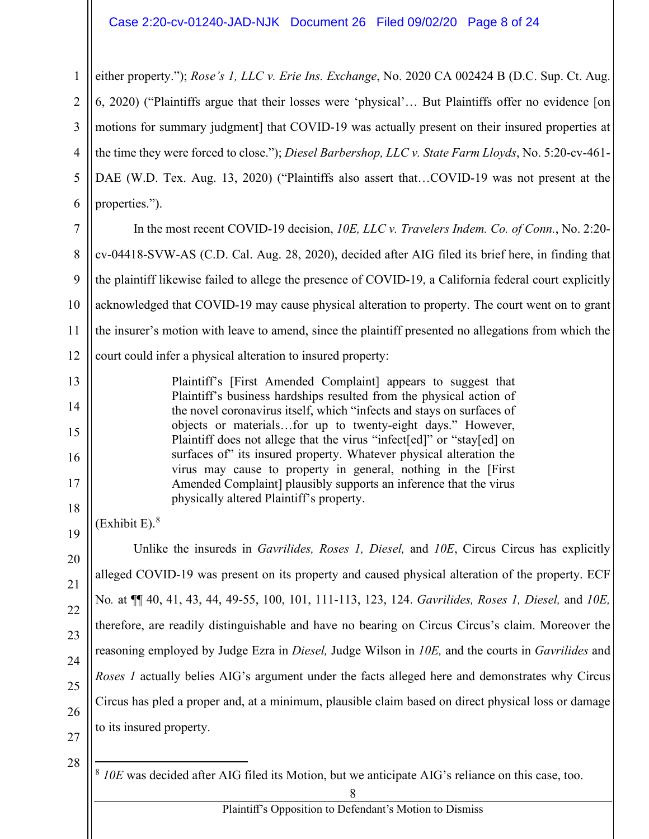#### Case 2:20-cv-01240-JAD-NJK Document 26 Filed 09/02/20 Page 8 of 24

1  $\overline{2}$ 3 4 5 6 either property."); *Rose's 1, LLC v. Erie Ins. Exchange*, No. 2020 CA 002424 B (D.C. Sup. Ct. Aug. 6, 2020) ("Plaintiffs argue that their losses were 'physical'… But Plaintiffs offer no evidence [on motions for summary judgment] that COVID-19 was actually present on their insured properties at the time they were forced to close."); *Diesel Barbershop, LLC v. State Farm Lloyds*, No. 5:20-cv-461- DAE (W.D. Tex. Aug. 13, 2020) ("Plaintiffs also assert that…COVID-19 was not present at the properties.").

7 8 9 10 11 12 In the most recent COVID-19 decision, *10E, LLC v. Travelers Indem. Co. of Conn.*, No. 2:20 cv-04418-SVW-AS (C.D. Cal. Aug. 28, 2020), decided after AIG filed its brief here, in finding that the plaintiff likewise failed to allege the presence of COVID-19, a California federal court explicitly acknowledged that COVID-19 may cause physical alteration to property. The court went on to grant the insurer's motion with leave to amend, since the plaintiff presented no allegations from which the court could infer a physical alteration to insured property:

> Plaintiff's [First Amended Complaint] appears to suggest that Plaintiff's business hardships resulted from the physical action of the novel coronavirus itself, which "infects and stays on surfaces of objects or materials…for up to twenty-eight days." However, Plaintiff does not allege that the virus "infect[ed]" or "stay[ed] on surfaces of" its insured property. Whatever physical alteration the virus may cause to property in general, nothing in the [First Amended Complaint] plausibly supports an inference that the virus physically altered Plaintiff's property.

(Exhibit E). 8

13

14

15

16

17

18

19

20

21

22

23

24

25

26

Unlike the insureds in *Gavrilides, Roses 1, Diesel,* and *10E*, Circus Circus has explicitly alleged COVID-19 was present on its property and caused physical alteration of the property. ECF No*.* at ¶¶ 40, 41, 43, 44, 49-55, 100, 101, 111-113, 123, 124. *Gavrilides, Roses 1, Diesel,* and *10E,* therefore, are readily distinguishable and have no bearing on Circus Circus's claim. Moreover the reasoning employed by Judge Ezra in *Diesel,* Judge Wilson in *10E,* and the courts in *Gavrilides* and *Roses 1* actually belies AIG's argument under the facts alleged here and demonstrates why Circus Circus has pled a proper and, at a minimum, plausible claim based on direct physical loss or damage to its insured property.

27 28

<sup>8</sup> *10E* was decided after AIG filed its Motion, but we anticipate AIG's reliance on this case, too.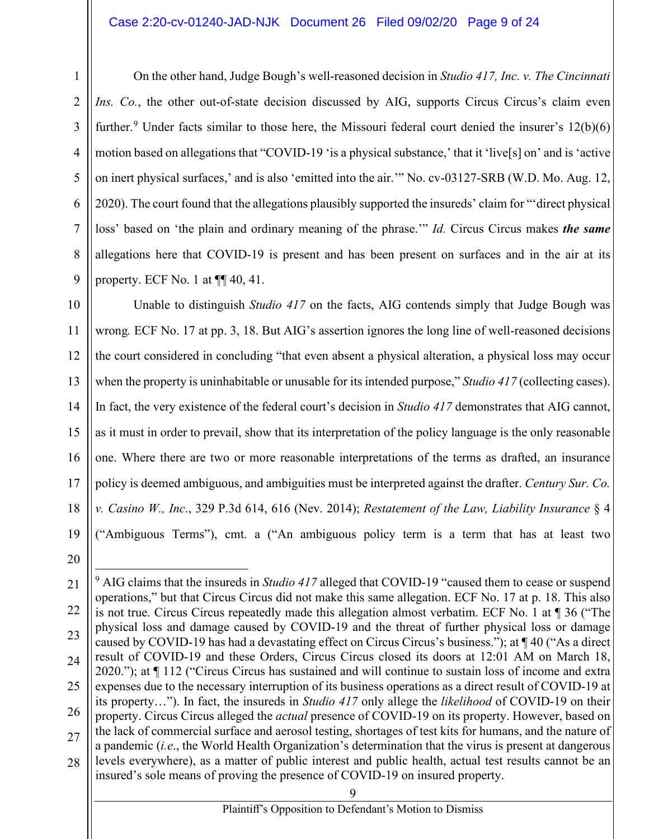#### Case 2:20-cv-01240-JAD-NJK Document 26 Filed 09/02/20 Page 9 of 24

On the other hand, Judge Bough's well-reasoned decision in *Studio 417, Inc. v. The Cincinnati Ins. Co.*, the other out-of-state decision discussed by AIG, supports Circus Circus's claim even further.<sup>9</sup> Under facts similar to those here, the Missouri federal court denied the insurer's  $12(b)(6)$ motion based on allegations that "COVID-19 'is a physical substance,' that it 'live[s] on' and is 'active on inert physical surfaces,' and is also 'emitted into the air.'" No. cv-03127-SRB (W.D. Mo. Aug. 12, 2020). The court found that the allegations plausibly supported the insureds' claim for "'direct physical loss' based on 'the plain and ordinary meaning of the phrase.'" *Id.* Circus Circus makes *the same* allegations here that COVID-19 is present and has been present on surfaces and in the air at its property. ECF No. 1 at ¶¶ 40, 41.

17 18 19 Unable to distinguish *Studio 417* on the facts, AIG contends simply that Judge Bough was wrong*.* ECF No. 17 at pp. 3, 18. But AIG's assertion ignores the long line of well-reasoned decisions the court considered in concluding "that even absent a physical alteration, a physical loss may occur when the property is uninhabitable or unusable for its intended purpose," *Studio 417* (collecting cases). In fact, the very existence of the federal court's decision in *Studio 417* demonstrates that AIG cannot, as it must in order to prevail, show that its interpretation of the policy language is the only reasonable one. Where there are two or more reasonable interpretations of the terms as drafted, an insurance policy is deemed ambiguous, and ambiguities must be interpreted against the drafter. *Century Sur. Co. v. Casino W., Inc*., 329 P.3d 614, 616 (Nev. 2014); *Restatement of the Law, Liability Insurance* § 4 ("Ambiguous Terms"), cmt. a ("An ambiguous policy term is a term that has at least two

<sup>20</sup>

<sup>21</sup> 22 23 24 25 26 27 28 <sup>9</sup> AIG claims that the insureds in *Studio 417* alleged that COVID-19 "caused them to cease or suspend operations," but that Circus Circus did not make this same allegation. ECF No. 17 at p. 18. This also is not true. Circus Circus repeatedly made this allegation almost verbatim. ECF No. 1 at ¶ 36 ("The physical loss and damage caused by COVID-19 and the threat of further physical loss or damage caused by COVID-19 has had a devastating effect on Circus Circus's business."); at ¶ 40 ("As a direct result of COVID-19 and these Orders, Circus Circus closed its doors at 12:01 AM on March 18, 2020."); at ¶ 112 ("Circus Circus has sustained and will continue to sustain loss of income and extra expenses due to the necessary interruption of its business operations as a direct result of COVID-19 at its property…"). In fact, the insureds in *Studio 417* only allege the *likelihood* of COVID-19 on their property. Circus Circus alleged the *actual* presence of COVID-19 on its property. However, based on the lack of commercial surface and aerosol testing, shortages of test kits for humans, and the nature of a pandemic (*i.e*., the World Health Organization's determination that the virus is present at dangerous levels everywhere), as a matter of public interest and public health, actual test results cannot be an insured's sole means of proving the presence of COVID-19 on insured property.

<sup>9</sup>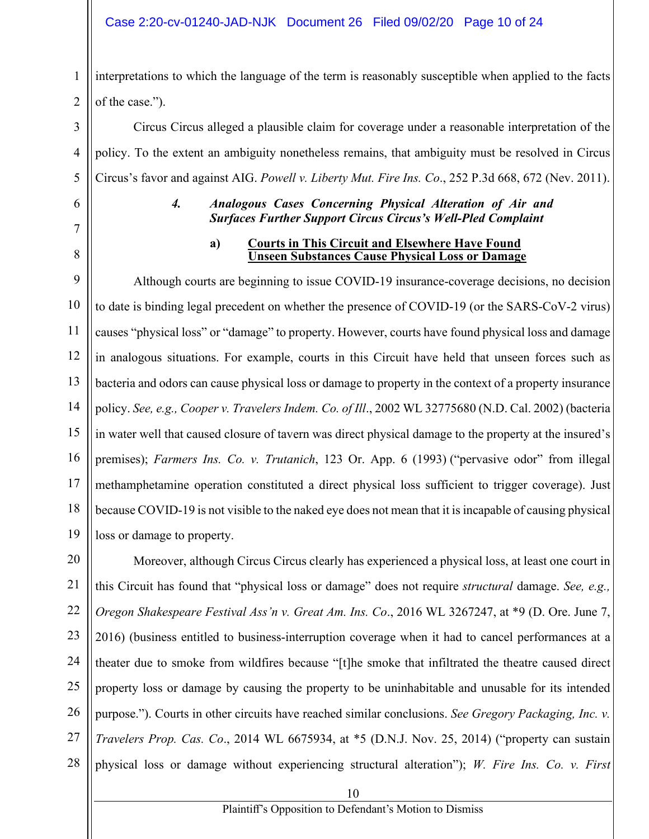#### Case 2:20-cv-01240-JAD-NJK Document 26 Filed 09/02/20 Page 10 of 24

1 2 interpretations to which the language of the term is reasonably susceptible when applied to the facts of the case.").

Circus Circus alleged a plausible claim for coverage under a reasonable interpretation of the policy. To the extent an ambiguity nonetheless remains, that ambiguity must be resolved in Circus Circus's favor and against AIG. *Powell v. Liberty Mut. Fire Ins. Co*., 252 P.3d 668, 672 (Nev. 2011).

6 7

3

4

5

8

### *4. Analogous Cases Concerning Physical Alteration of Air and Surfaces Further Support Circus Circus's Well-Pled Complaint*

#### **a) Courts in This Circuit and Elsewhere Have Found Unseen Substances Cause Physical Loss or Damage**

9 10 11 12 13 14 15 16 17 18 19 Although courts are beginning to issue COVID-19 insurance-coverage decisions, no decision to date is binding legal precedent on whether the presence of COVID-19 (or the SARS-CoV-2 virus) causes "physical loss" or "damage" to property. However, courts have found physical loss and damage in analogous situations. For example, courts in this Circuit have held that unseen forces such as bacteria and odors can cause physical loss or damage to property in the context of a property insurance policy. *See, e.g., Cooper v. Travelers Indem. Co. of Ill*., 2002 WL 32775680 (N.D. Cal. 2002) (bacteria in water well that caused closure of tavern was direct physical damage to the property at the insured's premises); *Farmers Ins. Co. v. Trutanich*, 123 Or. App. 6 (1993) ("pervasive odor" from illegal methamphetamine operation constituted a direct physical loss sufficient to trigger coverage). Just because COVID-19 is not visible to the naked eye does not mean that it is incapable of causing physical loss or damage to property.

20 21 22 23 24 25 26 27 28 Moreover, although Circus Circus clearly has experienced a physical loss, at least one court in this Circuit has found that "physical loss or damage" does not require *structural* damage. *See, e.g., Oregon Shakespeare Festival Ass'n v. Great Am. Ins. Co*., 2016 WL 3267247, at \*9 (D. Ore. June 7, 2016) (business entitled to business-interruption coverage when it had to cancel performances at a theater due to smoke from wildfires because "[t]he smoke that infiltrated the theatre caused direct property loss or damage by causing the property to be uninhabitable and unusable for its intended purpose."). Courts in other circuits have reached similar conclusions. *See Gregory Packaging, Inc. v. Travelers Prop. Cas. Co*., 2014 WL 6675934, at \*5 (D.N.J. Nov. 25, 2014) ("property can sustain physical loss or damage without experiencing structural alteration"); *W. Fire Ins. Co. v. First*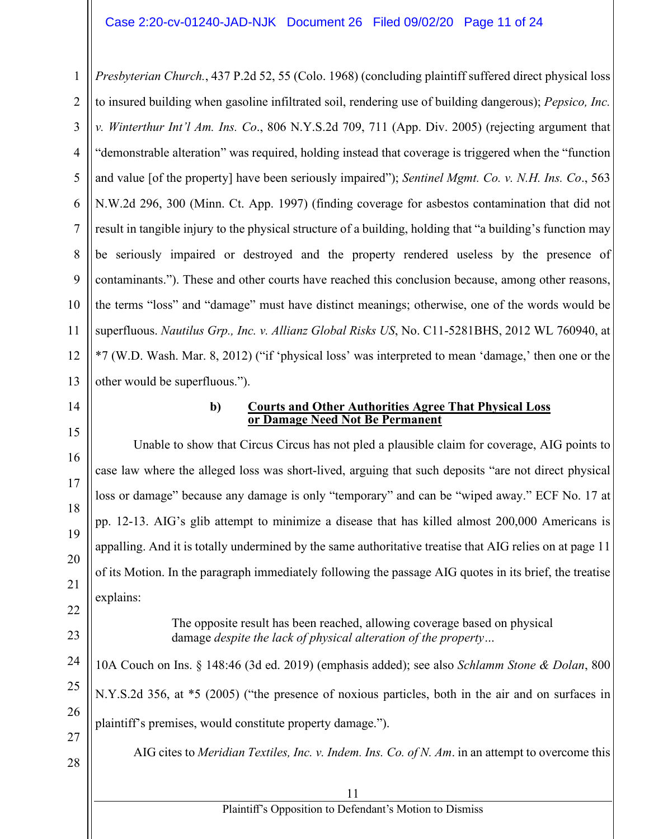1 2 3 4 5 6 7 8 9 10 11 12 13 *Presbyterian Church.*, 437 P.2d 52, 55 (Colo. 1968) (concluding plaintiff suffered direct physical loss to insured building when gasoline infiltrated soil, rendering use of building dangerous); *Pepsico, Inc. v. Winterthur Int'l Am. Ins. Co*., 806 N.Y.S.2d 709, 711 (App. Div. 2005) (rejecting argument that "demonstrable alteration" was required, holding instead that coverage is triggered when the "function and value [of the property] have been seriously impaired"); *Sentinel Mgmt. Co. v. N.H. Ins. Co*., 563 N.W.2d 296, 300 (Minn. Ct. App. 1997) (finding coverage for asbestos contamination that did not result in tangible injury to the physical structure of a building, holding that "a building's function may be seriously impaired or destroyed and the property rendered useless by the presence of contaminants."). These and other courts have reached this conclusion because, among other reasons, the terms "loss" and "damage" must have distinct meanings; otherwise, one of the words would be superfluous. *Nautilus Grp., Inc. v. Allianz Global Risks US*, No. C11-5281BHS, 2012 WL 760940, at \*7 (W.D. Wash. Mar. 8, 2012) ("if 'physical loss' was interpreted to mean 'damage,' then one or the other would be superfluous.").

14

15

16

17

18

19

20

21

22

23

24

25

26

#### **b) Courts and Other Authorities Agree That Physical Loss or Damage Need Not Be Permanent**

Unable to show that Circus Circus has not pled a plausible claim for coverage, AIG points to case law where the alleged loss was short-lived, arguing that such deposits "are not direct physical loss or damage" because any damage is only "temporary" and can be "wiped away." ECF No. 17 at pp. 12-13. AIG's glib attempt to minimize a disease that has killed almost 200,000 Americans is appalling. And it is totally undermined by the same authoritative treatise that AIG relies on at page 11 of its Motion. In the paragraph immediately following the passage AIG quotes in its brief, the treatise explains:

> The opposite result has been reached, allowing coverage based on physical damage *despite the lack of physical alteration of the property…*

10A Couch on Ins. § 148:46 (3d ed. 2019) (emphasis added); see also *Schlamm Stone & Dolan*, 800 N.Y.S.2d 356, at \*5 (2005) ("the presence of noxious particles, both in the air and on surfaces in plaintiff's premises, would constitute property damage.").

27 28

AIG cites to *Meridian Textiles, Inc. v. Indem. Ins. Co. of N. Am*. in an attempt to overcome this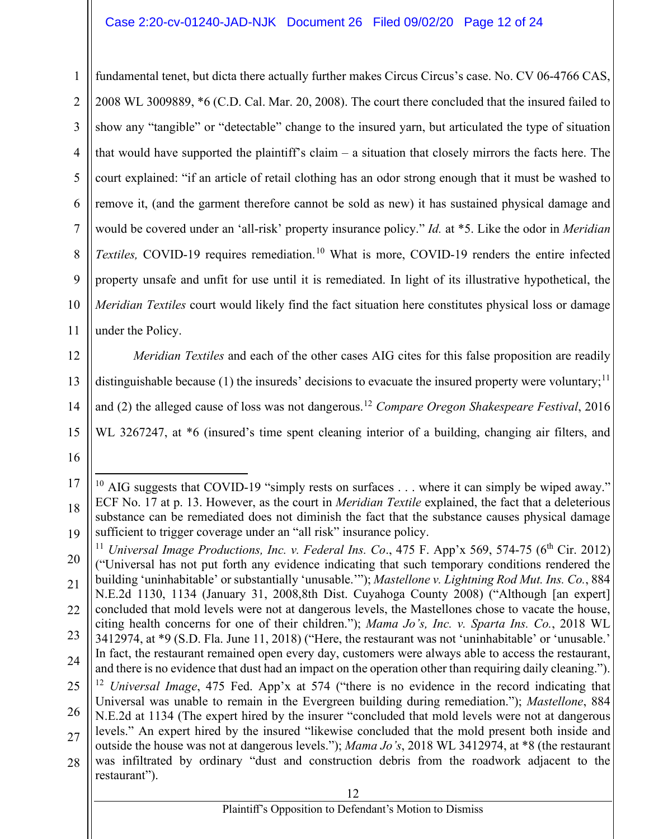1  $\mathfrak{D}$ 3 4 5 6 7 8 9 10 11 fundamental tenet, but dicta there actually further makes Circus Circus's case. No. CV 06-4766 CAS, 2008 WL 3009889, \*6 (C.D. Cal. Mar. 20, 2008). The court there concluded that the insured failed to show any "tangible" or "detectable" change to the insured yarn, but articulated the type of situation that would have supported the plaintiff's claim – a situation that closely mirrors the facts here. The court explained: "if an article of retail clothing has an odor strong enough that it must be washed to remove it, (and the garment therefore cannot be sold as new) it has sustained physical damage and would be covered under an 'all-risk' property insurance policy." *Id.* at \*5. Like the odor in *Meridian Textiles,* COVID-19 requires remediation. <sup>10</sup> What is more, COVID-19 renders the entire infected property unsafe and unfit for use until it is remediated. In light of its illustrative hypothetical, the *Meridian Textiles* court would likely find the fact situation here constitutes physical loss or damage under the Policy.

12 13 14 15 *Meridian Textiles* and each of the other cases AIG cites for this false proposition are readily distinguishable because (1) the insureds' decisions to evacuate the insured property were voluntary;<sup>11</sup> and (2) the alleged cause of loss was not dangerous.<sup>12</sup> *Compare Oregon Shakespeare Festival*, 2016 WL 3267247, at  $*6$  (insured's time spent cleaning interior of a building, changing air filters, and

<sup>17</sup> 18 19 <sup>10</sup> AIG suggests that COVID-19 "simply rests on surfaces  $\dots$  where it can simply be wiped away." ECF No. 17 at p. 13. However, as the court in *Meridian Textile* explained, the fact that a deleterious substance can be remediated does not diminish the fact that the substance causes physical damage sufficient to trigger coverage under an "all risk" insurance policy.

<sup>20</sup> 21 22 23 24 25 26 27 28 <sup>11</sup> *Universal Image Productions, Inc. v. Federal Ins. Co.*, 475 F. App'x 569, 574-75 (6<sup>th</sup> Cir. 2012) ("Universal has not put forth any evidence indicating that such temporary conditions rendered the building 'uninhabitable' or substantially 'unusable.'"); *Mastellone v. Lightning Rod Mut. Ins. Co.*, 884 N.E.2d 1130, 1134 (January 31, 2008,8th Dist. Cuyahoga County 2008) ("Although [an expert] concluded that mold levels were not at dangerous levels, the Mastellones chose to vacate the house, citing health concerns for one of their children."); *Mama Jo's, Inc. v. Sparta Ins. Co.*, 2018 WL 3412974, at \*9 (S.D. Fla. June 11, 2018) ("Here, the restaurant was not 'uninhabitable' or 'unusable.' In fact, the restaurant remained open every day, customers were always able to access the restaurant, and there is no evidence that dust had an impact on the operation other than requiring daily cleaning."). <sup>12</sup> *Universal Image*, 475 Fed. App'x at 574 ("there is no evidence in the record indicating that Universal was unable to remain in the Evergreen building during remediation."); *Mastellone*, 884 N.E.2d at 1134 (The expert hired by the insurer "concluded that mold levels were not at dangerous levels." An expert hired by the insured "likewise concluded that the mold present both inside and outside the house was not at dangerous levels."); *Mama Jo's*, 2018 WL 3412974, at \*8 (the restaurant was infiltrated by ordinary "dust and construction debris from the roadwork adjacent to the restaurant").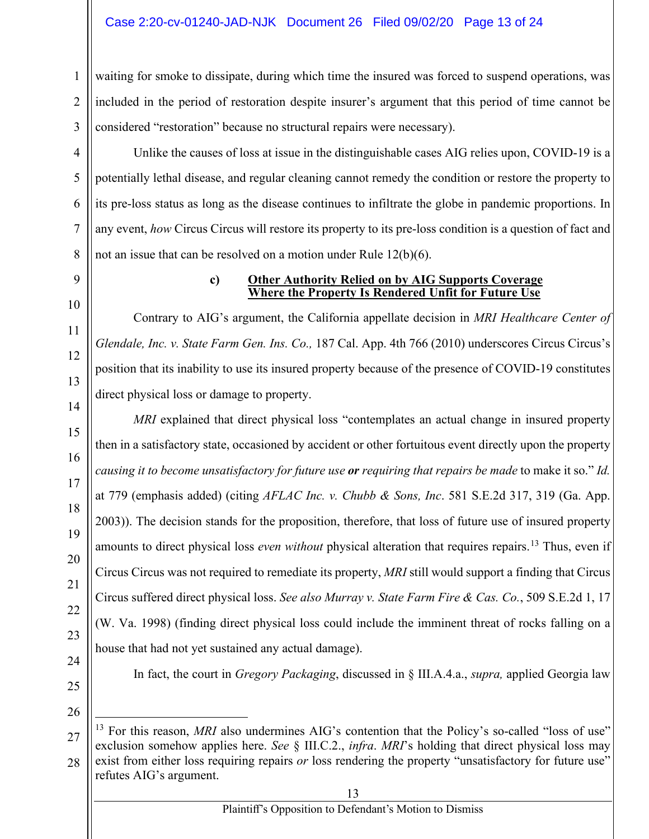waiting for smoke to dissipate, during which time the insured was forced to suspend operations, was included in the period of restoration despite insurer's argument that this period of time cannot be considered "restoration" because no structural repairs were necessary).

Unlike the causes of loss at issue in the distinguishable cases AIG relies upon, COVID-19 is a potentially lethal disease, and regular cleaning cannot remedy the condition or restore the property to its pre-loss status as long as the disease continues to infiltrate the globe in pandemic proportions. In any event, *how* Circus Circus will restore its property to its pre-loss condition is a question of fact and not an issue that can be resolved on a motion under Rule 12(b)(6).

9 10

11

12

13

14

15

16

17

18

19

20

21

22

23

24

1

 $\mathfrak{D}$ 

3

4

5

6

7

8

#### **c) Other Authority Relied on by AIG Supports Coverage Where the Property Is Rendered Unfit for Future Use**

Contrary to AIG's argument, the California appellate decision in *MRI Healthcare Center of Glendale, Inc. v. State Farm Gen. Ins. Co.,* 187 Cal. App. 4th 766 (2010) underscores Circus Circus's position that its inability to use its insured property because of the presence of COVID-19 constitutes direct physical loss or damage to property.

*MRI* explained that direct physical loss "contemplates an actual change in insured property then in a satisfactory state, occasioned by accident or other fortuitous event directly upon the property *causing it to become unsatisfactory for future use or requiring that repairs be made* to make it so." *Id.*  at 779 (emphasis added) (citing *AFLAC Inc. v. Chubb & Sons, Inc*. 581 S.E.2d 317, 319 (Ga. App. 2003)). The decision stands for the proposition, therefore, that loss of future use of insured property amounts to direct physical loss *even without* physical alteration that requires repairs.<sup>13</sup> Thus, even if Circus Circus was not required to remediate its property, *MRI* still would support a finding that Circus Circus suffered direct physical loss. *See also Murray v. State Farm Fire & Cas. Co.*, 509 S.E.2d 1, 17 (W. Va. 1998) (finding direct physical loss could include the imminent threat of rocks falling on a house that had not yet sustained any actual damage).

In fact, the court in *Gregory Packaging*, discussed in § III.A.4.a., *supra,* applied Georgia law

<sup>27</sup> 28 <sup>13</sup> For this reason, *MRI* also undermines AIG's contention that the Policy's so-called "loss of use" exclusion somehow applies here. *See* § III.C.2., *infra*. *MRI*'s holding that direct physical loss may exist from either loss requiring repairs *or* loss rendering the property "unsatisfactory for future use" refutes AIG's argument.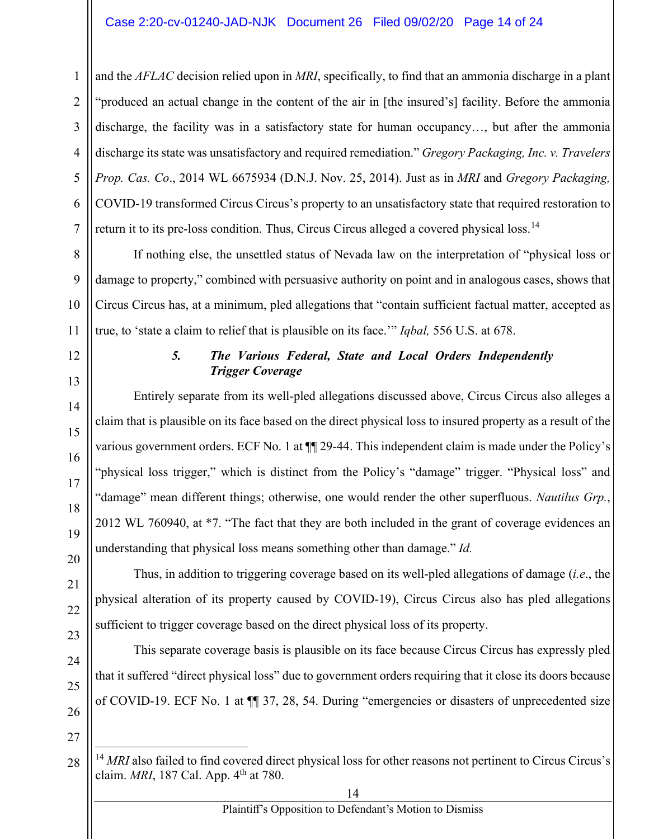# Case 2:20-cv-01240-JAD-NJK Document 26 Filed 09/02/20 Page 14 of 24

and the *AFLAC* decision relied upon in *MRI*, specifically, to find that an ammonia discharge in a plant "produced an actual change in the content of the air in [the insured's] facility. Before the ammonia discharge, the facility was in a satisfactory state for human occupancy…, but after the ammonia discharge its state was unsatisfactory and required remediation." *Gregory Packaging, Inc. v. Travelers Prop. Cas. Co*., 2014 WL 6675934 (D.N.J. Nov. 25, 2014). Just as in *MRI* and *Gregory Packaging,* COVID-19 transformed Circus Circus's property to an unsatisfactory state that required restoration to return it to its pre-loss condition. Thus, Circus Circus alleged a covered physical loss.<sup>14</sup>

If nothing else, the unsettled status of Nevada law on the interpretation of "physical loss or damage to property," combined with persuasive authority on point and in analogous cases, shows that Circus Circus has, at a minimum, pled allegations that "contain sufficient factual matter, accepted as true, to 'state a claim to relief that is plausible on its face.'" *Iqbal,* 556 U.S. at 678.

# *5. The Various Federal, State and Local Orders Independently Trigger Coverage*

Entirely separate from its well-pled allegations discussed above, Circus Circus also alleges a claim that is plausible on its face based on the direct physical loss to insured property as a result of the various government orders. ECF No. 1 at  $\P$  29-44. This independent claim is made under the Policy's "physical loss trigger," which is distinct from the Policy's "damage" trigger. "Physical loss" and "damage" mean different things; otherwise, one would render the other superfluous. *Nautilus Grp.*, 2012 WL 760940, at \*7. "The fact that they are both included in the grant of coverage evidences an understanding that physical loss means something other than damage." *Id.*

Thus, in addition to triggering coverage based on its well-pled allegations of damage (*i.e*., the physical alteration of its property caused by COVID-19), Circus Circus also has pled allegations sufficient to trigger coverage based on the direct physical loss of its property.

This separate coverage basis is plausible on its face because Circus Circus has expressly pled that it suffered "direct physical loss" due to government orders requiring that it close its doors because of COVID-19. ECF No. 1 at ¶¶ 37, 28, 54. During "emergencies or disasters of unprecedented size

<sup>&</sup>lt;sup>14</sup> MRI also failed to find covered direct physical loss for other reasons not pertinent to Circus Circus's claim. *MRI*, 187 Cal. App. 4<sup>th</sup> at 780.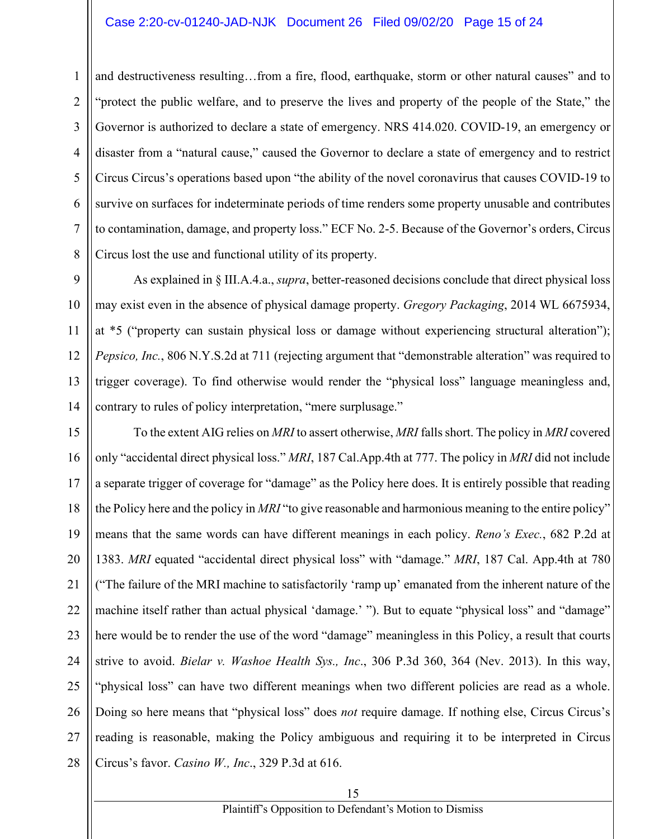#### Case 2:20-cv-01240-JAD-NJK Document 26 Filed 09/02/20 Page 15 of 24

and destructiveness resulting…from a fire, flood, earthquake, storm or other natural causes" and to "protect the public welfare, and to preserve the lives and property of the people of the State," the Governor is authorized to declare a state of emergency. NRS 414.020. COVID-19, an emergency or disaster from a "natural cause," caused the Governor to declare a state of emergency and to restrict Circus Circus's operations based upon "the ability of the novel coronavirus that causes COVID-19 to survive on surfaces for indeterminate periods of time renders some property unusable and contributes to contamination, damage, and property loss." ECF No. 2-5. Because of the Governor's orders, Circus Circus lost the use and functional utility of its property.

As explained in § III.A.4.a., *supra*, better-reasoned decisions conclude that direct physical loss may exist even in the absence of physical damage property. *Gregory Packaging*, 2014 WL 6675934, at \*5 ("property can sustain physical loss or damage without experiencing structural alteration"); *Pepsico, Inc.*, 806 N.Y.S.2d at 711 (rejecting argument that "demonstrable alteration" was required to trigger coverage). To find otherwise would render the "physical loss" language meaningless and, contrary to rules of policy interpretation, "mere surplusage."

24 25 26 27 28 To the extent AIG relies on *MRI* to assert otherwise, *MRI* falls short. The policy in *MRI* covered only "accidental direct physical loss." *MRI*, 187 Cal.App.4th at 777. The policy in *MRI* did not include a separate trigger of coverage for "damage" as the Policy here does. It is entirely possible that reading the Policy here and the policy in *MRI* "to give reasonable and harmonious meaning to the entire policy" means that the same words can have different meanings in each policy. *Reno's Exec.*, 682 P.2d at 1383. *MRI* equated "accidental direct physical loss" with "damage." *MRI*, 187 Cal. App.4th at 780 ("The failure of the MRI machine to satisfactorily 'ramp up' emanated from the inherent nature of the machine itself rather than actual physical 'damage.' "). But to equate "physical loss" and "damage" here would be to render the use of the word "damage" meaningless in this Policy, a result that courts strive to avoid. *Bielar v. Washoe Health Sys., Inc*., 306 P.3d 360, 364 (Nev. 2013). In this way, "physical loss" can have two different meanings when two different policies are read as a whole. Doing so here means that "physical loss" does *not* require damage. If nothing else, Circus Circus's reading is reasonable, making the Policy ambiguous and requiring it to be interpreted in Circus Circus's favor. *Casino W., Inc*., 329 P.3d at 616.

1

2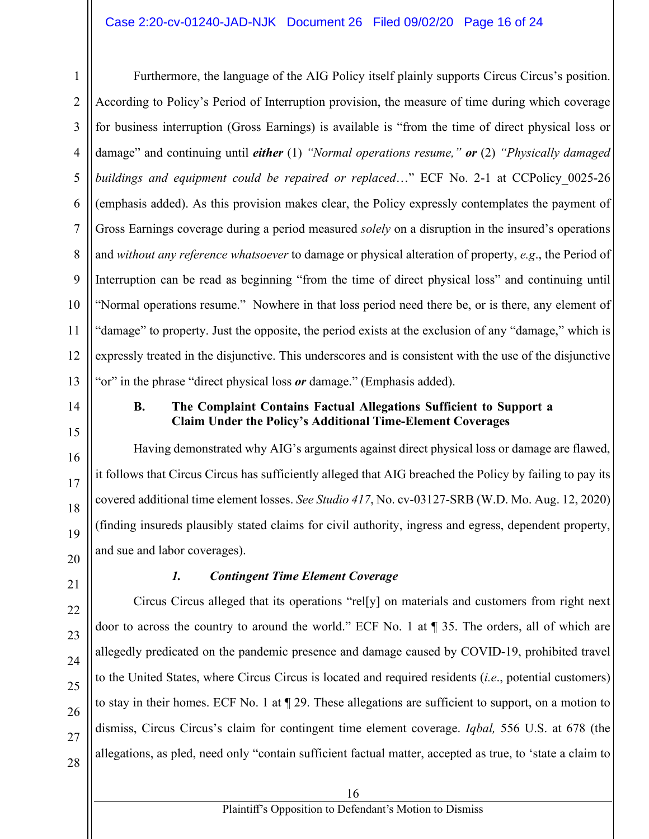#### Case 2:20-cv-01240-JAD-NJK Document 26 Filed 09/02/20 Page 16 of 24

1 2 3 4 Furthermore, the language of the AIG Policy itself plainly supports Circus Circus's position. According to Policy's Period of Interruption provision, the measure of time during which coverage for business interruption (Gross Earnings) is available is "from the time of direct physical loss or damage" and continuing until *either* (1) *"Normal operations resume," or* (2) *"Physically damaged buildings and equipment could be repaired or replaced*…" ECF No. 2-1 at CCPolicy\_0025-26 (emphasis added). As this provision makes clear, the Policy expressly contemplates the payment of Gross Earnings coverage during a period measured *solely* on a disruption in the insured's operations and *without any reference whatsoever* to damage or physical alteration of property, *e.g*., the Period of Interruption can be read as beginning "from the time of direct physical loss" and continuing until "Normal operations resume." Nowhere in that loss period need there be, or is there, any element of "damage" to property. Just the opposite, the period exists at the exclusion of any "damage," which is expressly treated in the disjunctive. This underscores and is consistent with the use of the disjunctive "or" in the phrase "direct physical loss *or* damage." (Emphasis added).

#### **B. The Complaint Contains Factual Allegations Sufficient to Support a Claim Under the Policy's Additional Time-Element Coverages**

Having demonstrated why AIG's arguments against direct physical loss or damage are flawed, it follows that Circus Circus has sufficiently alleged that AIG breached the Policy by failing to pay its covered additional time element losses. *See Studio 417*, No. cv-03127-SRB (W.D. Mo. Aug. 12, 2020) (finding insureds plausibly stated claims for civil authority, ingress and egress, dependent property, and sue and labor coverages).

#### *1. Contingent Time Element Coverage*

Circus Circus alleged that its operations "rel[y] on materials and customers from right next door to across the country to around the world." ECF No. 1 at ¶ 35. The orders, all of which are allegedly predicated on the pandemic presence and damage caused by COVID-19, prohibited travel to the United States, where Circus Circus is located and required residents (*i.e*., potential customers) to stay in their homes. ECF No. 1 at ¶ 29. These allegations are sufficient to support, on a motion to dismiss, Circus Circus's claim for contingent time element coverage. *Iqbal,* 556 U.S. at 678 (the allegations, as pled, need only "contain sufficient factual matter, accepted as true, to 'state a claim to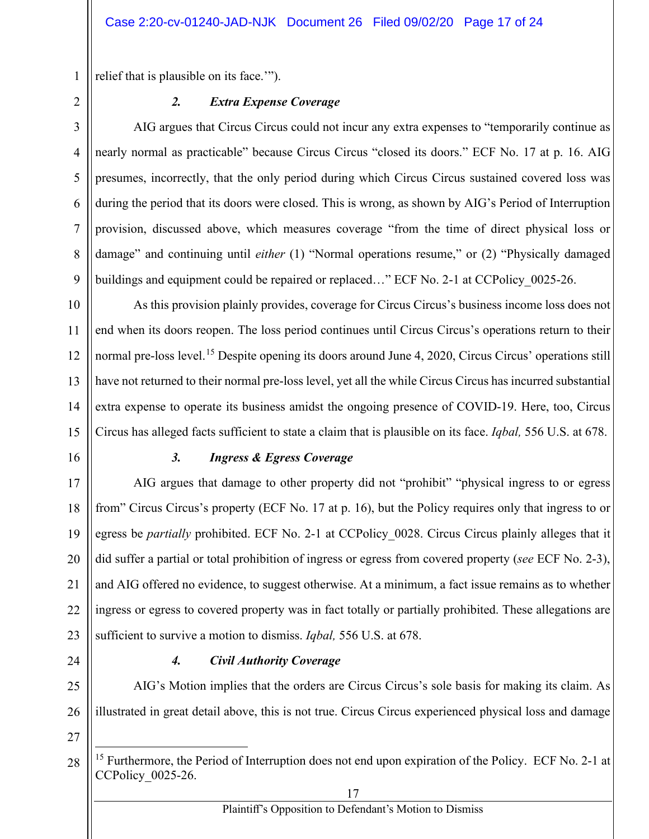relief that is plausible on its face.'").

1

2

3

4

5

6

7

8

9

# *2. Extra Expense Coverage*

AIG argues that Circus Circus could not incur any extra expenses to "temporarily continue as nearly normal as practicable" because Circus Circus "closed its doors." ECF No. 17 at p. 16. AIG presumes, incorrectly, that the only period during which Circus Circus sustained covered loss was during the period that its doors were closed. This is wrong, as shown by AIG's Period of Interruption provision, discussed above, which measures coverage "from the time of direct physical loss or damage" and continuing until *either* (1) "Normal operations resume," or (2) "Physically damaged buildings and equipment could be repaired or replaced..." ECF No. 2-1 at CCPolicy\_0025-26.

10 11 12 13 14 15 As this provision plainly provides, coverage for Circus Circus's business income loss does not end when its doors reopen. The loss period continues until Circus Circus's operations return to their normal pre-loss level.<sup>15</sup> Despite opening its doors around June 4, 2020, Circus Circus' operations still have not returned to their normal pre-loss level, yet all the while Circus Circus has incurred substantial extra expense to operate its business amidst the ongoing presence of COVID-19. Here, too, Circus Circus has alleged facts sufficient to state a claim that is plausible on its face. *Iqbal,* 556 U.S. at 678.

16

# *3. Ingress & Egress Coverage*

17 18 19 20 21 22 23 AIG argues that damage to other property did not "prohibit" "physical ingress to or egress from" Circus Circus's property (ECF No. 17 at p. 16), but the Policy requires only that ingress to or egress be *partially* prohibited. ECF No. 2-1 at CCPolicy 0028. Circus Circus plainly alleges that it did suffer a partial or total prohibition of ingress or egress from covered property (*see* ECF No. 2-3), and AIG offered no evidence, to suggest otherwise. At a minimum, a fact issue remains as to whether ingress or egress to covered property was in fact totally or partially prohibited. These allegations are sufficient to survive a motion to dismiss. *Iqbal,* 556 U.S. at 678.

24

# *4. Civil Authority Coverage*

25 26 AIG's Motion implies that the orders are Circus Circus's sole basis for making its claim. As illustrated in great detail above, this is not true. Circus Circus experienced physical loss and damage

<sup>28</sup> <sup>15</sup> Furthermore, the Period of Interruption does not end upon expiration of the Policy. ECF No. 2-1 at CCPolicy\_0025-26.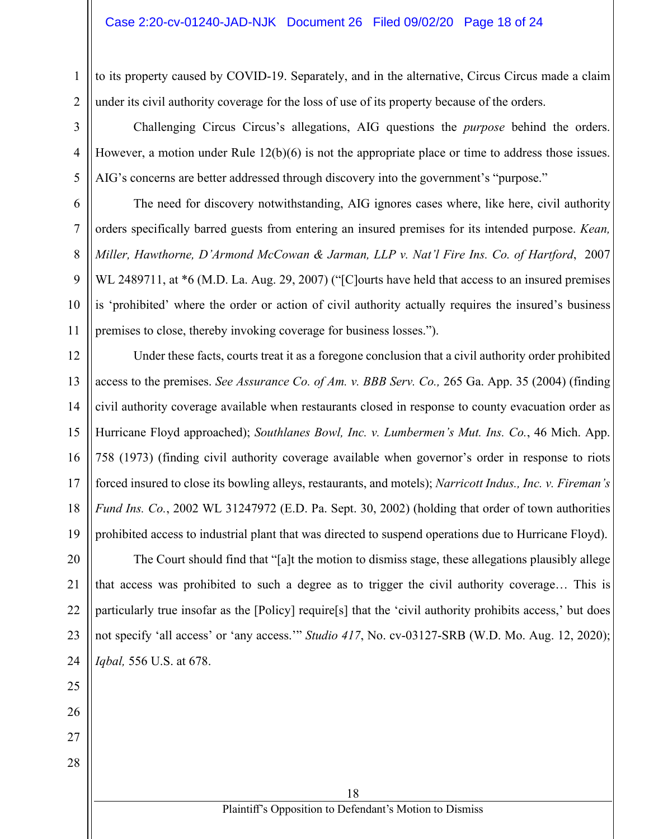to its property caused by COVID-19. Separately, and in the alternative, Circus Circus made a claim under its civil authority coverage for the loss of use of its property because of the orders.

Challenging Circus Circus's allegations, AIG questions the *purpose* behind the orders. However, a motion under Rule 12(b)(6) is not the appropriate place or time to address those issues. AIG's concerns are better addressed through discovery into the government's "purpose."

The need for discovery notwithstanding, AIG ignores cases where, like here, civil authority orders specifically barred guests from entering an insured premises for its intended purpose. *Kean, Miller, Hawthorne, D'Armond McCowan & Jarman, LLP v. Nat'l Fire Ins. Co. of Hartford*, 2007 WL 2489711, at  $*6$  (M.D. La. Aug. 29, 2007) ("[C]ourts have held that access to an insured premises is 'prohibited' where the order or action of civil authority actually requires the insured's business premises to close, thereby invoking coverage for business losses.").

Under these facts, courts treat it as a foregone conclusion that a civil authority order prohibited access to the premises. *See Assurance Co. of Am. v. BBB Serv. Co.,* 265 Ga. App. 35 (2004) (finding civil authority coverage available when restaurants closed in response to county evacuation order as Hurricane Floyd approached); *Southlanes Bowl, Inc. v. Lumbermen's Mut. Ins. Co.*, 46 Mich. App. 758 (1973) (finding civil authority coverage available when governor's order in response to riots forced insured to close its bowling alleys, restaurants, and motels); *Narricott Indus., Inc. v. Fireman's Fund Ins. Co.*, 2002 WL 31247972 (E.D. Pa. Sept. 30, 2002) (holding that order of town authorities prohibited access to industrial plant that was directed to suspend operations due to Hurricane Floyd).

The Court should find that "[a]t the motion to dismiss stage, these allegations plausibly allege that access was prohibited to such a degree as to trigger the civil authority coverage… This is particularly true insofar as the [Policy] require[s] that the 'civil authority prohibits access,' but does not specify 'all access' or 'any access.'" *Studio 417*, No. cv-03127-SRB (W.D. Mo. Aug. 12, 2020); *Iqbal,* 556 U.S. at 678.

1

2

3

4

5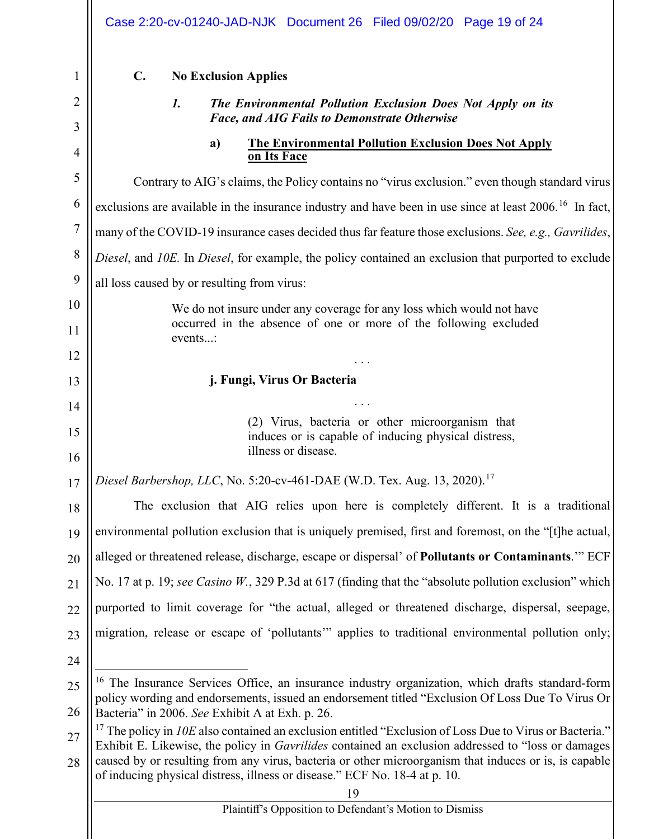|          | Case 2:20-cv-01240-JAD-NJK Document 26 Filed 09/02/20 Page 19 of 24                                                                                                                                                                                                                              |  |  |
|----------|--------------------------------------------------------------------------------------------------------------------------------------------------------------------------------------------------------------------------------------------------------------------------------------------------|--|--|
| 1        | $\mathbf{C}$ .<br><b>No Exclusion Applies</b>                                                                                                                                                                                                                                                    |  |  |
| 2        | The Environmental Pollution Exclusion Does Not Apply on its<br>1.                                                                                                                                                                                                                                |  |  |
| 3        | <b>Face, and AIG Fails to Demonstrate Otherwise</b>                                                                                                                                                                                                                                              |  |  |
| 4        | <b>The Environmental Pollution Exclusion Does Not Apply</b><br>a)<br>on Its Face                                                                                                                                                                                                                 |  |  |
| 5        | Contrary to AIG's claims, the Policy contains no "virus exclusion." even though standard virus                                                                                                                                                                                                   |  |  |
| 6        | exclusions are available in the insurance industry and have been in use since at least 2006. <sup>16</sup> In fact,                                                                                                                                                                              |  |  |
| 7        | many of the COVID-19 insurance cases decided thus far feature those exclusions. See, e.g., Gavrilides,                                                                                                                                                                                           |  |  |
| 8        | Diesel, and 10E. In Diesel, for example, the policy contained an exclusion that purported to exclude                                                                                                                                                                                             |  |  |
| 9        | all loss caused by or resulting from virus:                                                                                                                                                                                                                                                      |  |  |
| 10       | We do not insure under any coverage for any loss which would not have                                                                                                                                                                                                                            |  |  |
| 11       | occurred in the absence of one or more of the following excluded<br>events:                                                                                                                                                                                                                      |  |  |
| 12       |                                                                                                                                                                                                                                                                                                  |  |  |
| 13       | j. Fungi, Virus Or Bacteria                                                                                                                                                                                                                                                                      |  |  |
| 14       |                                                                                                                                                                                                                                                                                                  |  |  |
| 15<br>16 | (2) Virus, bacteria or other microorganism that<br>induces or is capable of inducing physical distress,<br>illness or disease.                                                                                                                                                                   |  |  |
| 17       | Diesel Barbershop, LLC, No. 5:20-cv-461-DAE (W.D. Tex. Aug. 13, 2020). <sup>17</sup>                                                                                                                                                                                                             |  |  |
| 18       | The exclusion that AIG relies upon here is completely different. It is a traditional                                                                                                                                                                                                             |  |  |
| 19       | environmental pollution exclusion that is uniquely premised, first and foremost, on the "[t]he actual,                                                                                                                                                                                           |  |  |
| 20       | alleged or threatened release, discharge, escape or dispersal' of Pollutants or Contaminants." ECF                                                                                                                                                                                               |  |  |
| 21       | No. 17 at p. 19; see Casino $W$ , 329 P.3d at 617 (finding that the "absolute pollution exclusion" which                                                                                                                                                                                         |  |  |
| 22       | purported to limit coverage for "the actual, alleged or threatened discharge, dispersal, seepage,                                                                                                                                                                                                |  |  |
| 23       | migration, release or escape of 'pollutants'" applies to traditional environmental pollution only;                                                                                                                                                                                               |  |  |
| 24       |                                                                                                                                                                                                                                                                                                  |  |  |
| 25       | <sup>16</sup> The Insurance Services Office, an insurance industry organization, which drafts standard-form                                                                                                                                                                                      |  |  |
| 26       | policy wording and endorsements, issued an endorsement titled "Exclusion Of Loss Due To Virus Or<br>Bacteria" in 2006. See Exhibit A at Exh. p. 26.                                                                                                                                              |  |  |
| 27       | <sup>17</sup> The policy in <i>10E</i> also contained an exclusion entitled "Exclusion of Loss Due to Virus or Bacteria."                                                                                                                                                                        |  |  |
| 28       | Exhibit E. Likewise, the policy in <i>Gavrilides</i> contained an exclusion addressed to "loss or damages<br>caused by or resulting from any virus, bacteria or other microorganism that induces or is, is capable<br>of inducing physical distress, illness or disease." ECF No. 18-4 at p. 10. |  |  |
|          | 19                                                                                                                                                                                                                                                                                               |  |  |
|          | Plaintiff's Opposition to Defendant's Motion to Dismiss                                                                                                                                                                                                                                          |  |  |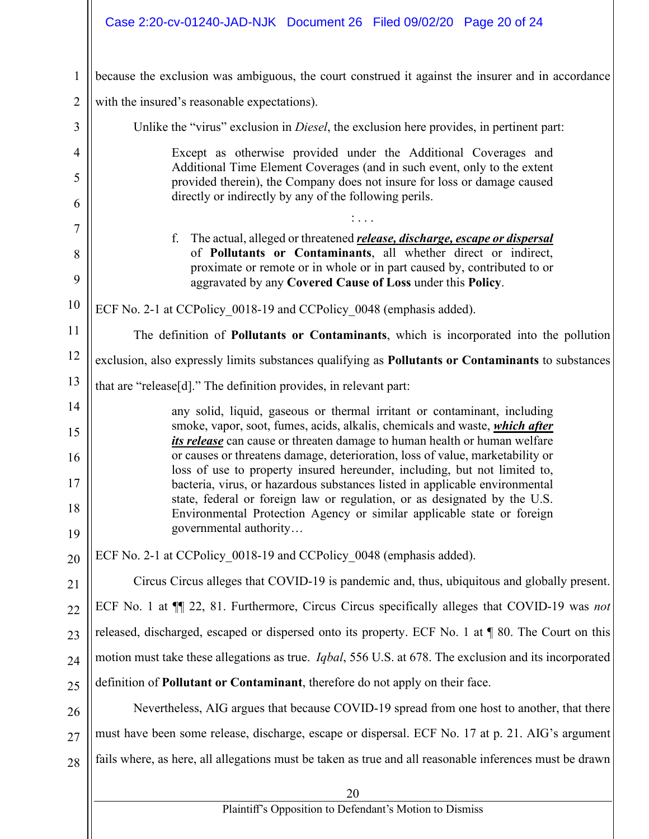|                | Case 2:20-cv-01240-JAD-NJK Document 26 Filed 09/02/20 Page 20 of 24                                                                                                                                                                                                               |  |
|----------------|-----------------------------------------------------------------------------------------------------------------------------------------------------------------------------------------------------------------------------------------------------------------------------------|--|
| $\mathbf{1}$   | because the exclusion was ambiguous, the court construed it against the insurer and in accordance                                                                                                                                                                                 |  |
| $\overline{2}$ | with the insured's reasonable expectations).                                                                                                                                                                                                                                      |  |
| 3              | Unlike the "virus" exclusion in <i>Diesel</i> , the exclusion here provides, in pertinent part:                                                                                                                                                                                   |  |
| $\overline{4}$ | Except as otherwise provided under the Additional Coverages and<br>Additional Time Element Coverages (and in such event, only to the extent<br>provided therein), the Company does not insure for loss or damage caused<br>directly or indirectly by any of the following perils. |  |
| 5<br>6         |                                                                                                                                                                                                                                                                                   |  |
| 7              |                                                                                                                                                                                                                                                                                   |  |
| 8              | f. The actual, alleged or threatened <i>release</i> , <i>discharge</i> , <i>escape or dispersal</i><br>of Pollutants or Contaminants, all whether direct or indirect,                                                                                                             |  |
| 9              | proximate or remote or in whole or in part caused by, contributed to or<br>aggravated by any Covered Cause of Loss under this Policy.                                                                                                                                             |  |
| 10             | ECF No. 2-1 at CCPolicy 0018-19 and CCPolicy 0048 (emphasis added).                                                                                                                                                                                                               |  |
| 11             | The definition of <b>Pollutants or Contaminants</b> , which is incorporated into the pollution                                                                                                                                                                                    |  |
| 12             | exclusion, also expressly limits substances qualifying as Pollutants or Contaminants to substances                                                                                                                                                                                |  |
| 13             | that are "release[d]." The definition provides, in relevant part:                                                                                                                                                                                                                 |  |
| 14<br>15       | any solid, liquid, gaseous or thermal irritant or contaminant, including<br>smoke, vapor, soot, fumes, acids, alkalis, chemicals and waste, which after                                                                                                                           |  |
| 16             | <i>its release</i> can cause or threaten damage to human health or human welfare<br>or causes or threatens damage, deterioration, loss of value, marketability or                                                                                                                 |  |
| 17             | loss of use to property insured hereunder, including, but not limited to,<br>bacteria, virus, or hazardous substances listed in applicable environmental<br>state, federal or foreign law or regulation, or as designated by the U.S.                                             |  |
| 18<br>19       | Environmental Protection Agency or similar applicable state or foreign<br>governmental authority                                                                                                                                                                                  |  |
| 20             | ECF No. 2-1 at CCPolicy 0018-19 and CCPolicy 0048 (emphasis added).                                                                                                                                                                                                               |  |
| 21             | Circus Circus alleges that COVID-19 is pandemic and, thus, ubiquitous and globally present.                                                                                                                                                                                       |  |
| 22             | ECF No. 1 at $\P$ 22, 81. Furthermore, Circus Circus specifically alleges that COVID-19 was not                                                                                                                                                                                   |  |
| 23             | released, discharged, escaped or dispersed onto its property. ECF No. 1 at ¶ 80. The Court on this                                                                                                                                                                                |  |
| 24             | motion must take these allegations as true. <i>Iqbal</i> , 556 U.S. at 678. The exclusion and its incorporated                                                                                                                                                                    |  |
| 25             | definition of Pollutant or Contaminant, therefore do not apply on their face.                                                                                                                                                                                                     |  |
| 26             | Nevertheless, AIG argues that because COVID-19 spread from one host to another, that there                                                                                                                                                                                        |  |
| 27             | must have been some release, discharge, escape or dispersal. ECF No. 17 at p. 21. AIG's argument                                                                                                                                                                                  |  |
| 28             | fails where, as here, all allegations must be taken as true and all reasonable inferences must be drawn                                                                                                                                                                           |  |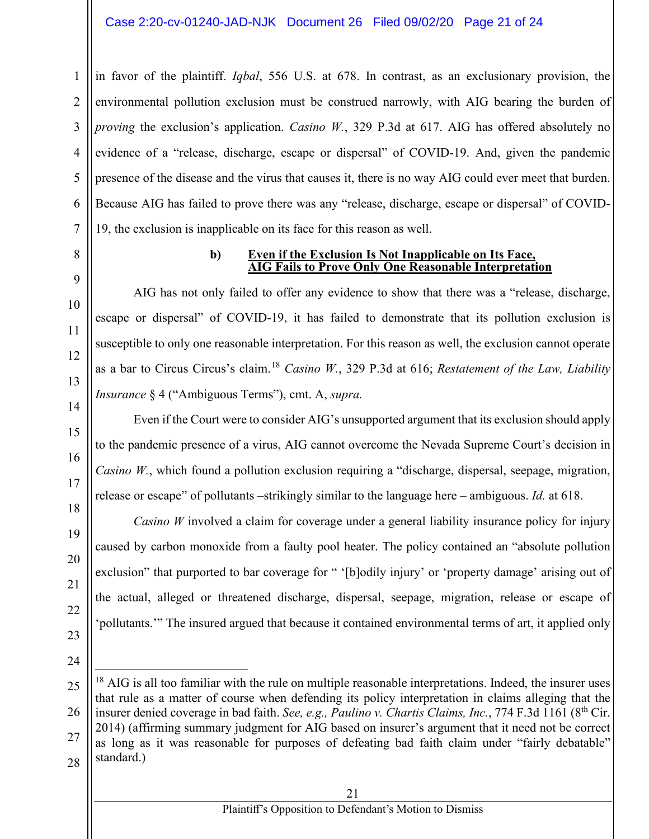#### Case 2:20-cv-01240-JAD-NJK Document 26 Filed 09/02/20 Page 21 of 24

in favor of the plaintiff. *Iqbal*, 556 U.S. at 678. In contrast, as an exclusionary provision, the environmental pollution exclusion must be construed narrowly, with AIG bearing the burden of *proving* the exclusion's application. *Casino W.*, 329 P.3d at 617. AIG has offered absolutely no evidence of a "release, discharge, escape or dispersal" of COVID-19. And, given the pandemic presence of the disease and the virus that causes it, there is no way AIG could ever meet that burden. Because AIG has failed to prove there was any "release, discharge, escape or dispersal" of COVID-19, the exclusion is inapplicable on its face for this reason as well.

8 9

10

11

12

13

14

15

16

17

18

19

20

21

22

23

1

 $\mathfrak{D}$ 

3

4

5

6

7

#### **b) Even if the Exclusion Is Not Inapplicable on Its Face, AIG Fails to Prove Only One Reasonable Interpretation**

AIG has not only failed to offer any evidence to show that there was a "release, discharge, escape or dispersal" of COVID-19, it has failed to demonstrate that its pollution exclusion is susceptible to only one reasonable interpretation. For this reason as well, the exclusion cannot operate as a bar to Circus Circus's claim.<sup>18</sup> *Casino W.*, 329 P.3d at 616; *Restatement of the Law, Liability Insurance* § 4 ("Ambiguous Terms"), cmt. A, *supra.*

Even if the Court were to consider AIG's unsupported argument that its exclusion should apply to the pandemic presence of a virus, AIG cannot overcome the Nevada Supreme Court's decision in *Casino W.*, which found a pollution exclusion requiring a "discharge, dispersal, seepage, migration, release or escape" of pollutants –strikingly similar to the language here – ambiguous. *Id.* at 618.

*Casino W* involved a claim for coverage under a general liability insurance policy for injury caused by carbon monoxide from a faulty pool heater. The policy contained an "absolute pollution exclusion" that purported to bar coverage for " '[b]odily injury' or 'property damage' arising out of the actual, alleged or threatened discharge, dispersal, seepage, migration, release or escape of 'pollutants.'" The insured argued that because it contained environmental terms of art, it applied only

- 24
- 25

<sup>26</sup> 28  $18$  AIG is all too familiar with the rule on multiple reasonable interpretations. Indeed, the insurer uses that rule as a matter of course when defending its policy interpretation in claims alleging that the insurer denied coverage in bad faith. *See, e.g., Paulino v. Chartis Claims, Inc.*, 774 F.3d 1161 (8th Cir. 2014) (affirming summary judgment for AIG based on insurer's argument that it need not be correct as long as it was reasonable for purposes of defeating bad faith claim under "fairly debatable" standard.)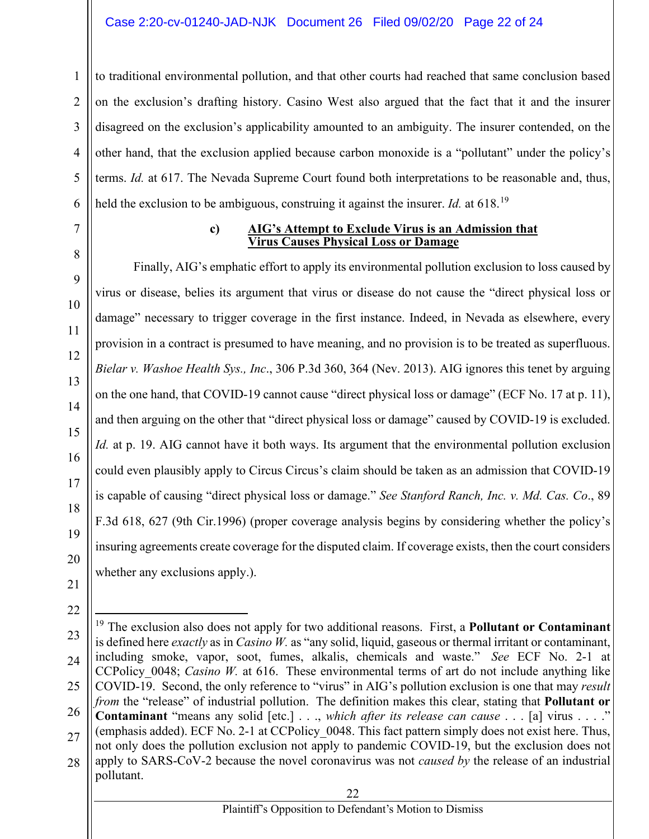#### Case 2:20-cv-01240-JAD-NJK Document 26 Filed 09/02/20 Page 22 of 24

to traditional environmental pollution, and that other courts had reached that same conclusion based on the exclusion's drafting history. Casino West also argued that the fact that it and the insurer disagreed on the exclusion's applicability amounted to an ambiguity. The insurer contended, on the other hand, that the exclusion applied because carbon monoxide is a "pollutant" under the policy's terms. *Id.* at 617. The Nevada Supreme Court found both interpretations to be reasonable and, thus, held the exclusion to be ambiguous, construing it against the insurer. *Id.* at 618.<sup>19</sup>

7

1

 $\mathfrak{D}$ 

3

4

5

6

8

9

10

11

12

13

14

15

16

17

18

19

20

#### **c) AIG's Attempt to Exclude Virus is an Admission that Virus Causes Physical Loss or Damage**

Finally, AIG's emphatic effort to apply its environmental pollution exclusion to loss caused by virus or disease, belies its argument that virus or disease do not cause the "direct physical loss or damage" necessary to trigger coverage in the first instance. Indeed, in Nevada as elsewhere, every provision in a contract is presumed to have meaning, and no provision is to be treated as superfluous. *Bielar v. Washoe Health Sys., Inc*., 306 P.3d 360, 364 (Nev. 2013). AIG ignores this tenet by arguing on the one hand, that COVID-19 cannot cause "direct physical loss or damage" (ECF No. 17 at p. 11), and then arguing on the other that "direct physical loss or damage" caused by COVID-19 is excluded. *Id.* at p. 19. AIG cannot have it both ways. Its argument that the environmental pollution exclusion could even plausibly apply to Circus Circus's claim should be taken as an admission that COVID-19 is capable of causing "direct physical loss or damage." *See Stanford Ranch, Inc. v. Md. Cas. Co*., 89 F.3d 618, 627 (9th Cir.1996) (proper coverage analysis begins by considering whether the policy's insuring agreements create coverage for the disputed claim. If coverage exists, then the court considers whether any exclusions apply.).

- 21 22
- 23 24
- 25

26 27

28 **Contaminant** "means any solid [etc.] . . ., *which after its release can cause* . . . [a] virus . . . ." (emphasis added). ECF No. 2-1 at CCPolicy\_0048. This fact pattern simply does not exist here. Thus, not only does the pollution exclusion not apply to pandemic COVID-19, but the exclusion does not apply to SARS-CoV-2 because the novel coronavirus was not *caused by* the release of an industrial pollutant.

<sup>19</sup> The exclusion also does not apply for two additional reasons. First, a **Pollutant or Contaminant**  is defined here *exactly* as in *Casino W.* as "any solid, liquid, gaseous or thermal irritant or contaminant, including smoke, vapor, soot, fumes, alkalis, chemicals and waste." *See* ECF No. 2-1 at CCPolicy 0048; *Casino W.* at 616. These environmental terms of art do not include anything like COVID-19. Second, the only reference to "virus" in AIG's pollution exclusion is one that may *result from* the "release" of industrial pollution. The definition makes this clear, stating that **Pollutant or**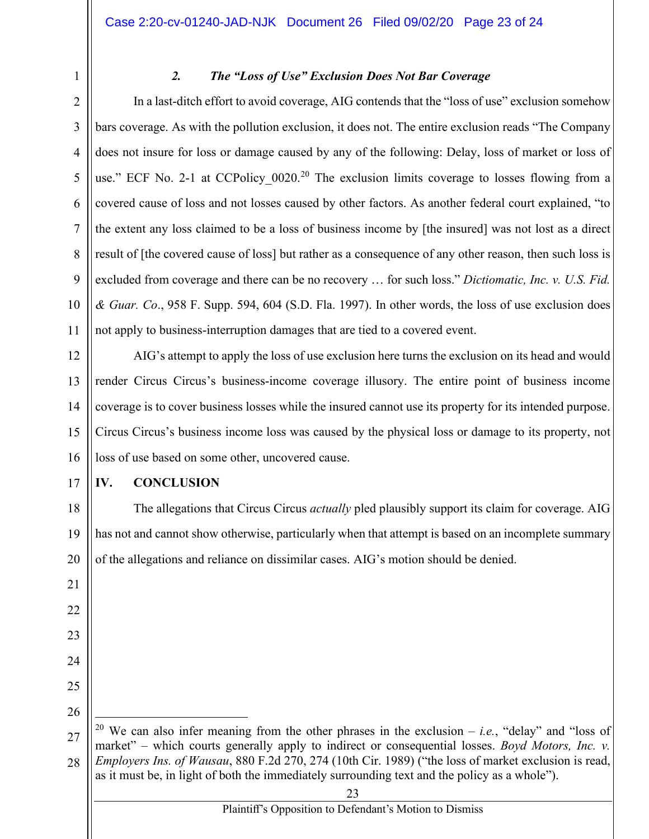1

# *2. The "Loss of Use" Exclusion Does Not Bar Coverage*

2 3 4 5 6 7 8 9 10 11 In a last-ditch effort to avoid coverage, AIG contends that the "loss of use" exclusion somehow bars coverage. As with the pollution exclusion, it does not. The entire exclusion reads "The Company does not insure for loss or damage caused by any of the following: Delay, loss of market or loss of use." ECF No. 2-1 at CCPolicy  $0020$ <sup>20</sup> The exclusion limits coverage to losses flowing from a covered cause of loss and not losses caused by other factors. As another federal court explained, "to the extent any loss claimed to be a loss of business income by [the insured] was not lost as a direct result of [the covered cause of loss] but rather as a consequence of any other reason, then such loss is excluded from coverage and there can be no recovery … for such loss." *Dictiomatic, Inc. v. U.S. Fid. & Guar. Co*., 958 F. Supp. 594, 604 (S.D. Fla. 1997). In other words, the loss of use exclusion does not apply to business-interruption damages that are tied to a covered event.

12 13 14 15 16 AIG's attempt to apply the loss of use exclusion here turns the exclusion on its head and would render Circus Circus's business-income coverage illusory. The entire point of business income coverage is to cover business losses while the insured cannot use its property for its intended purpose. Circus Circus's business income loss was caused by the physical loss or damage to its property, not loss of use based on some other, uncovered cause.

# **IV. CONCLUSION**

18 19 20 The allegations that Circus Circus *actually* pled plausibly support its claim for coverage. AIG has not and cannot show otherwise, particularly when that attempt is based on an incomplete summary of the allegations and reliance on dissimilar cases. AIG's motion should be denied.

24 25 26

17

21

22

23

27 28 <sup>20</sup> We can also infer meaning from the other phrases in the exclusion – *i.e.*, "delay" and "loss of market" – which courts generally apply to indirect or consequential losses. *Boyd Motors, Inc. v. Employers Ins. of Wausau*, 880 F.2d 270, 274 (10th Cir. 1989) ("the loss of market exclusion is read, as it must be, in light of both the immediately surrounding text and the policy as a whole").